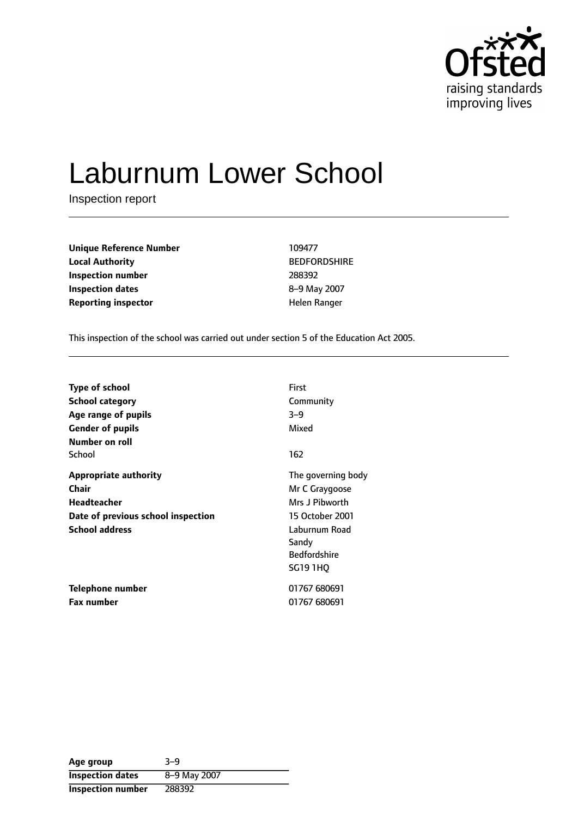

# Laburnum Lower School

Inspection report

| <b>Unique Reference Number</b> | 109477            |
|--------------------------------|-------------------|
| <b>Local Authority</b>         | <b>BEDFORDSHI</b> |
| Inspection number              | 288392            |
| Inspection dates               | 8-9 May 2007      |
| <b>Reporting inspector</b>     | Helen Ranger      |

**BEDFORDSHIRE Inspection number** 288392 8-9 May 2007

This inspection of the school was carried out under section 5 of the Education Act 2005.

| Type of school                     | First               |
|------------------------------------|---------------------|
| School category                    | Community           |
| Age range of pupils                | $3 - 9$             |
| <b>Gender of pupils</b>            | Mixed               |
| Number on roll                     |                     |
| School                             | 162                 |
| <b>Appropriate authority</b>       | The governing body  |
| Chair                              | Mr C Graygoose      |
| <b>Headteacher</b>                 | Mrs J Pibworth      |
| Date of previous school inspection | 15 October 2001     |
| <b>School address</b>              | Laburnum Road       |
|                                    | Sandy               |
|                                    | <b>Bedfordshire</b> |
|                                    | <b>SG19 1HQ</b>     |
| Telephone number                   | 01767 680691        |
| <b>Fax number</b>                  | 01767 680691        |

| Age group                | $3 - 9$      |
|--------------------------|--------------|
| <b>Inspection dates</b>  | 8-9 May 2007 |
| <b>Inspection number</b> | 288392       |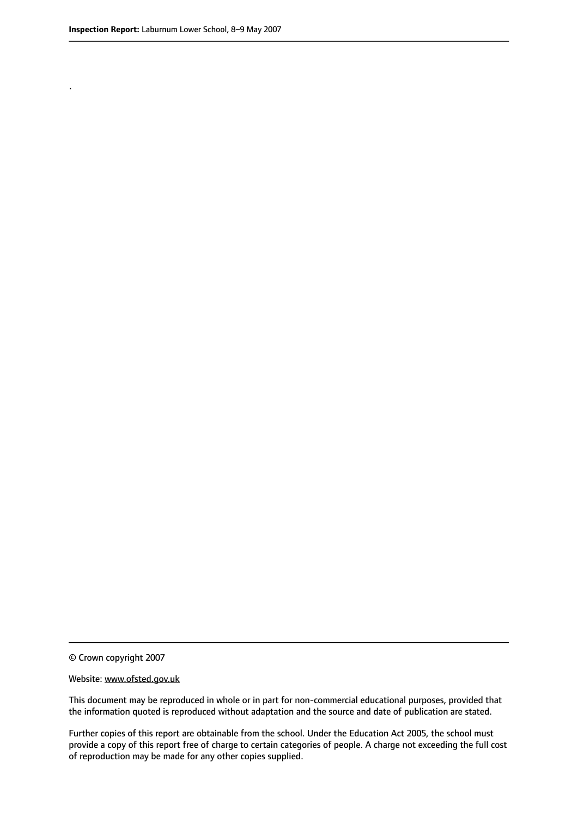.

© Crown copyright 2007

#### Website: www.ofsted.gov.uk

This document may be reproduced in whole or in part for non-commercial educational purposes, provided that the information quoted is reproduced without adaptation and the source and date of publication are stated.

Further copies of this report are obtainable from the school. Under the Education Act 2005, the school must provide a copy of this report free of charge to certain categories of people. A charge not exceeding the full cost of reproduction may be made for any other copies supplied.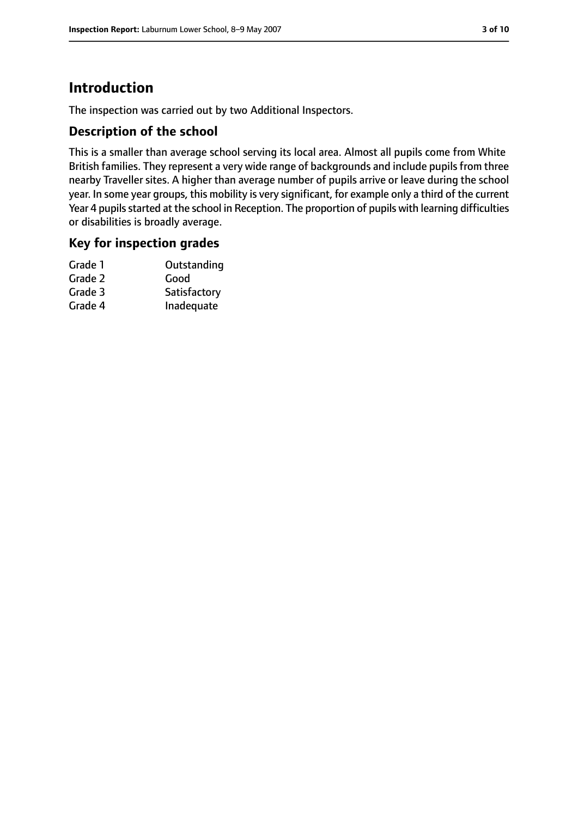# **Introduction**

The inspection was carried out by two Additional Inspectors.

## **Description of the school**

This is a smaller than average school serving its local area. Almost all pupils come from White British families. They represent a very wide range of backgrounds and include pupils from three nearby Traveller sites. A higher than average number of pupils arrive or leave during the school year. In some year groups, this mobility is very significant, for example only a third of the current Year 4 pupils started at the school in Reception. The proportion of pupils with learning difficulties or disabilities is broadly average.

#### **Key for inspection grades**

| Grade 1 | Outstanding  |
|---------|--------------|
| Grade 2 | Good         |
| Grade 3 | Satisfactory |
| Grade 4 | Inadequate   |
|         |              |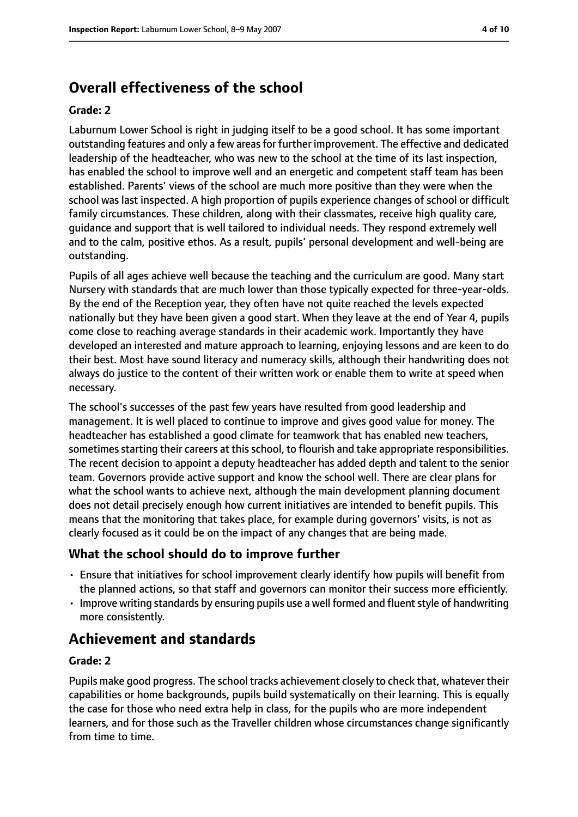## **Overall effectiveness of the school**

#### **Grade: 2**

Laburnum Lower School is right in judging itself to be a good school. It has some important outstanding features and only a few areasfor further improvement. The effective and dedicated leadership of the headteacher, who was new to the school at the time of its last inspection, has enabled the school to improve well and an energetic and competent staff team has been established. Parents' views of the school are much more positive than they were when the school was last inspected. A high proportion of pupils experience changes of school or difficult family circumstances. These children, along with their classmates, receive high quality care, guidance and support that is well tailored to individual needs. They respond extremely well and to the calm, positive ethos. As a result, pupils' personal development and well-being are outstanding.

Pupils of all ages achieve well because the teaching and the curriculum are good. Many start Nursery with standards that are much lower than those typically expected for three-year-olds. By the end of the Reception year, they often have not quite reached the levels expected nationally but they have been given a good start. When they leave at the end of Year 4, pupils come close to reaching average standards in their academic work. Importantly they have developed an interested and mature approach to learning, enjoying lessons and are keen to do their best. Most have sound literacy and numeracy skills, although their handwriting does not always do justice to the content of their written work or enable them to write at speed when necessary.

The school's successes of the past few years have resulted from good leadership and management. It is well placed to continue to improve and gives good value for money. The headteacher has established a good climate for teamwork that has enabled new teachers, sometimes starting their careers at this school, to flourish and take appropriate responsibilities. The recent decision to appoint a deputy headteacher has added depth and talent to the senior team. Governors provide active support and know the school well. There are clear plans for what the school wants to achieve next, although the main development planning document does not detail precisely enough how current initiatives are intended to benefit pupils. This means that the monitoring that takes place, for example during governors' visits, is not as clearly focused as it could be on the impact of any changes that are being made.

#### **What the school should do to improve further**

- Ensure that initiatives for school improvement clearly identify how pupils will benefit from the planned actions, so that staff and governors can monitor their success more efficiently.
- Improve writing standards by ensuring pupils use a well formed and fluent style of handwriting more consistently.

## **Achievement and standards**

#### **Grade: 2**

Pupils make good progress. The school tracks achievement closely to check that, whatever their capabilities or home backgrounds, pupils build systematically on their learning. This is equally the case for those who need extra help in class, for the pupils who are more independent learners, and for those such as the Traveller children whose circumstances change significantly from time to time.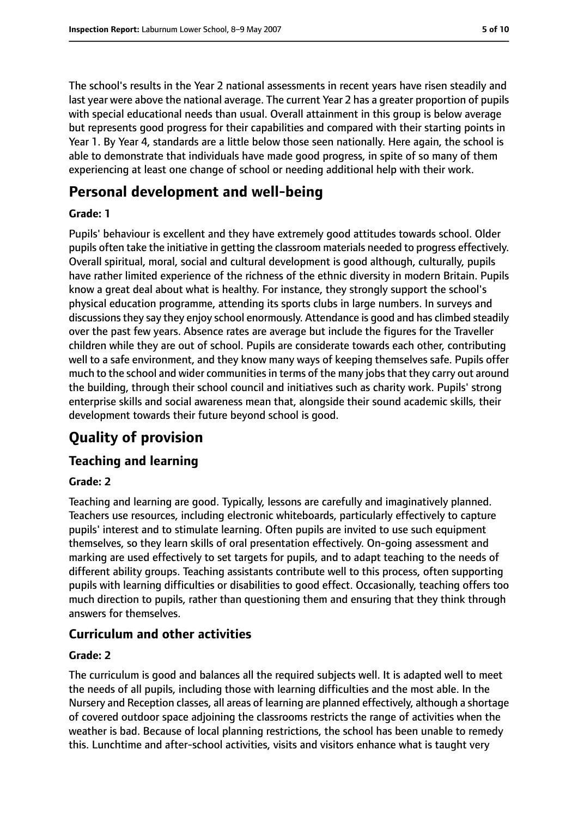The school's results in the Year 2 national assessments in recent years have risen steadily and last year were above the national average. The current Year 2 has a greater proportion of pupils with special educational needs than usual. Overall attainment in this group is below average but represents good progress for their capabilities and compared with their starting points in Year 1. By Year 4, standards are a little below those seen nationally. Here again, the school is able to demonstrate that individuals have made good progress, in spite of so many of them experiencing at least one change of school or needing additional help with their work.

# **Personal development and well-being**

#### **Grade: 1**

Pupils' behaviour is excellent and they have extremely good attitudes towards school. Older pupils often take the initiative in getting the classroom materials needed to progress effectively. Overall spiritual, moral, social and cultural development is good although, culturally, pupils have rather limited experience of the richness of the ethnic diversity in modern Britain. Pupils know a great deal about what is healthy. For instance, they strongly support the school's physical education programme, attending its sports clubs in large numbers. In surveys and discussionsthey say they enjoy school enormously. Attendance is good and has climbed steadily over the past few years. Absence rates are average but include the figures for the Traveller children while they are out of school. Pupils are considerate towards each other, contributing well to a safe environment, and they know many ways of keeping themselves safe. Pupils offer much to the school and wider communities in terms of the many jobs that they carry out around the building, through their school council and initiatives such as charity work. Pupils' strong enterprise skills and social awareness mean that, alongside their sound academic skills, their development towards their future beyond school is good.

# **Quality of provision**

## **Teaching and learning**

#### **Grade: 2**

Teaching and learning are good. Typically, lessons are carefully and imaginatively planned. Teachers use resources, including electronic whiteboards, particularly effectively to capture pupils' interest and to stimulate learning. Often pupils are invited to use such equipment themselves, so they learn skills of oral presentation effectively. On-going assessment and marking are used effectively to set targets for pupils, and to adapt teaching to the needs of different ability groups. Teaching assistants contribute well to this process, often supporting pupils with learning difficulties or disabilities to good effect. Occasionally, teaching offers too much direction to pupils, rather than questioning them and ensuring that they think through answers for themselves.

## **Curriculum and other activities**

#### **Grade: 2**

The curriculum is good and balances all the required subjects well. It is adapted well to meet the needs of all pupils, including those with learning difficulties and the most able. In the Nursery and Reception classes, all areas of learning are planned effectively, although a shortage of covered outdoor space adjoining the classrooms restricts the range of activities when the weather is bad. Because of local planning restrictions, the school has been unable to remedy this. Lunchtime and after-school activities, visits and visitors enhance what is taught very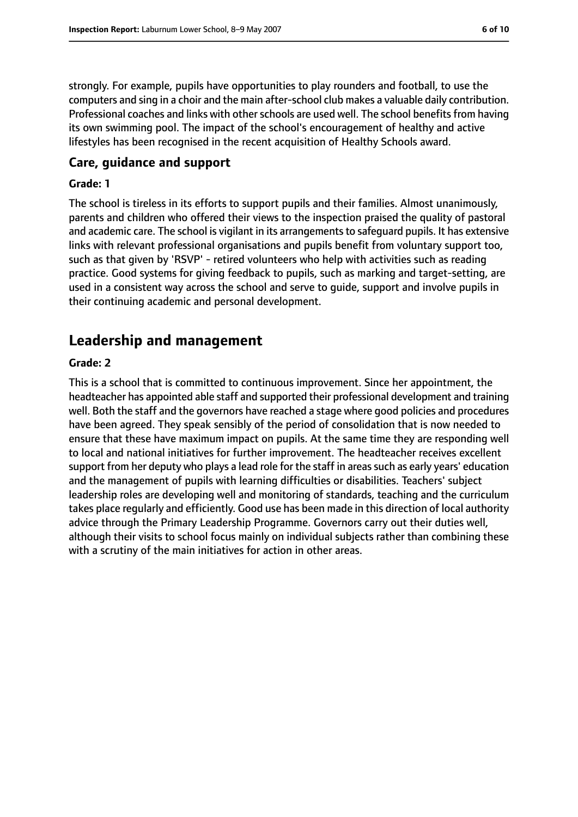strongly. For example, pupils have opportunities to play rounders and football, to use the computers and sing in a choir and the main after-school club makes a valuable daily contribution. Professional coaches and links with other schools are used well. The school benefits from having its own swimming pool. The impact of the school's encouragement of healthy and active lifestyles has been recognised in the recent acquisition of Healthy Schools award.

#### **Care, guidance and support**

#### **Grade: 1**

The school is tireless in its efforts to support pupils and their families. Almost unanimously, parents and children who offered their views to the inspection praised the quality of pastoral and academic care. The school is vigilant in its arrangements to safeguard pupils. It has extensive links with relevant professional organisations and pupils benefit from voluntary support too, such as that given by 'RSVP' - retired volunteers who help with activities such as reading practice. Good systems for giving feedback to pupils, such as marking and target-setting, are used in a consistent way across the school and serve to guide, support and involve pupils in their continuing academic and personal development.

# **Leadership and management**

#### **Grade: 2**

This is a school that is committed to continuous improvement. Since her appointment, the headteacher has appointed able staff and supported their professional development and training well. Both the staff and the governors have reached a stage where good policies and procedures have been agreed. They speak sensibly of the period of consolidation that is now needed to ensure that these have maximum impact on pupils. At the same time they are responding well to local and national initiatives for further improvement. The headteacher receives excellent support from her deputy who plays a lead role for the staff in areas such as early years' education and the management of pupils with learning difficulties or disabilities. Teachers' subject leadership roles are developing well and monitoring of standards, teaching and the curriculum takes place regularly and efficiently. Good use has been made in this direction of local authority advice through the Primary Leadership Programme. Governors carry out their duties well, although their visits to school focus mainly on individual subjects rather than combining these with a scrutiny of the main initiatives for action in other areas.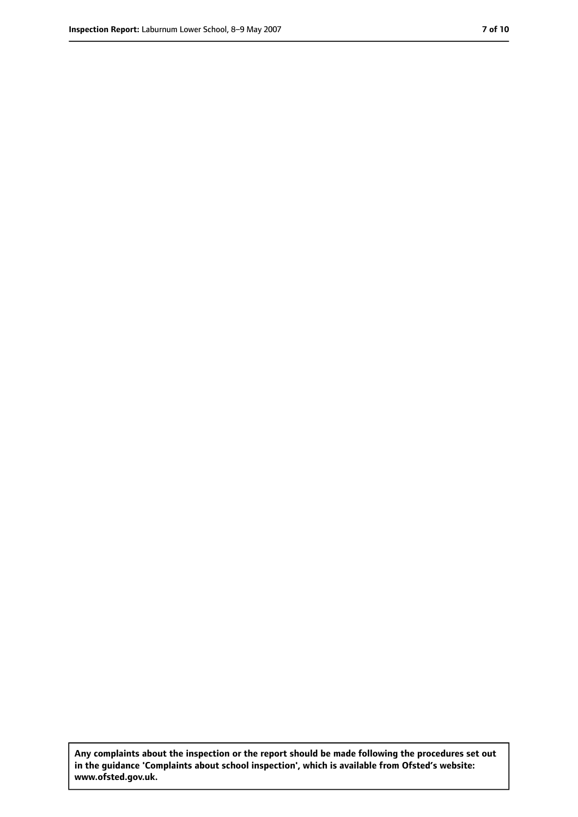**Any complaints about the inspection or the report should be made following the procedures set out in the guidance 'Complaints about school inspection', which is available from Ofsted's website: www.ofsted.gov.uk.**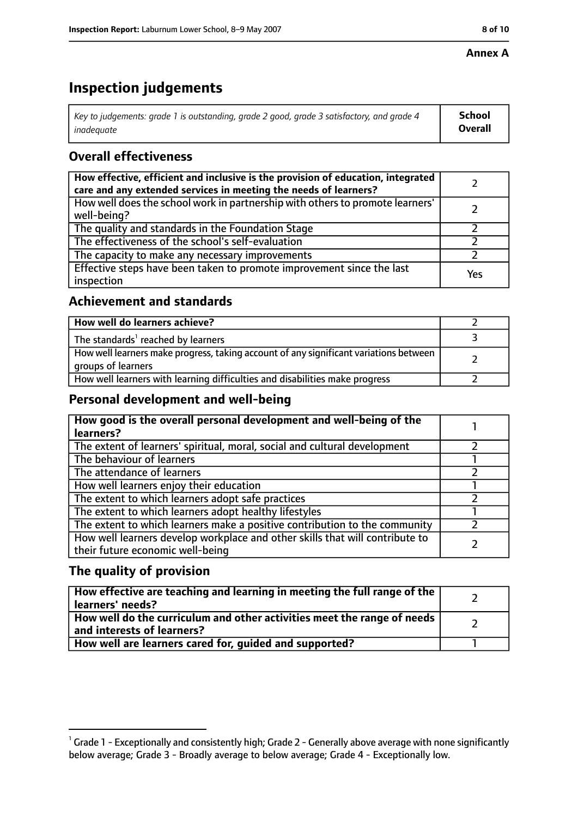#### **Annex A**

# **Inspection judgements**

| Key to judgements: grade 1 is outstanding, grade 2 good, grade 3 satisfactory, and grade 4 $\,$ | <b>School</b>  |
|-------------------------------------------------------------------------------------------------|----------------|
| inadequate                                                                                      | <b>Overall</b> |

## **Overall effectiveness**

| How effective, efficient and inclusive is the provision of education, integrated<br>care and any extended services in meeting the needs of learners? |     |
|------------------------------------------------------------------------------------------------------------------------------------------------------|-----|
| How well does the school work in partnership with others to promote learners'<br>well-being?                                                         |     |
| The quality and standards in the Foundation Stage                                                                                                    |     |
| The effectiveness of the school's self-evaluation                                                                                                    |     |
| The capacity to make any necessary improvements                                                                                                      |     |
| Effective steps have been taken to promote improvement since the last<br>inspection                                                                  | Yes |

## **Achievement and standards**

| How well do learners achieve?                                                                               |  |
|-------------------------------------------------------------------------------------------------------------|--|
| The standards <sup>1</sup> reached by learners                                                              |  |
| How well learners make progress, taking account of any significant variations between<br>groups of learners |  |
| How well learners with learning difficulties and disabilities make progress                                 |  |

## **Personal development and well-being**

| How good is the overall personal development and well-being of the<br>learners?                                  |  |
|------------------------------------------------------------------------------------------------------------------|--|
| The extent of learners' spiritual, moral, social and cultural development                                        |  |
| The behaviour of learners                                                                                        |  |
| The attendance of learners                                                                                       |  |
| How well learners enjoy their education                                                                          |  |
| The extent to which learners adopt safe practices                                                                |  |
| The extent to which learners adopt healthy lifestyles                                                            |  |
| The extent to which learners make a positive contribution to the community                                       |  |
| How well learners develop workplace and other skills that will contribute to<br>their future economic well-being |  |

## **The quality of provision**

| How effective are teaching and learning in meeting the full range of the<br>learners' needs?          |  |
|-------------------------------------------------------------------------------------------------------|--|
| How well do the curriculum and other activities meet the range of needs<br>and interests of learners? |  |
| How well are learners cared for, quided and supported?                                                |  |

 $^1$  Grade 1 - Exceptionally and consistently high; Grade 2 - Generally above average with none significantly below average; Grade 3 - Broadly average to below average; Grade 4 - Exceptionally low.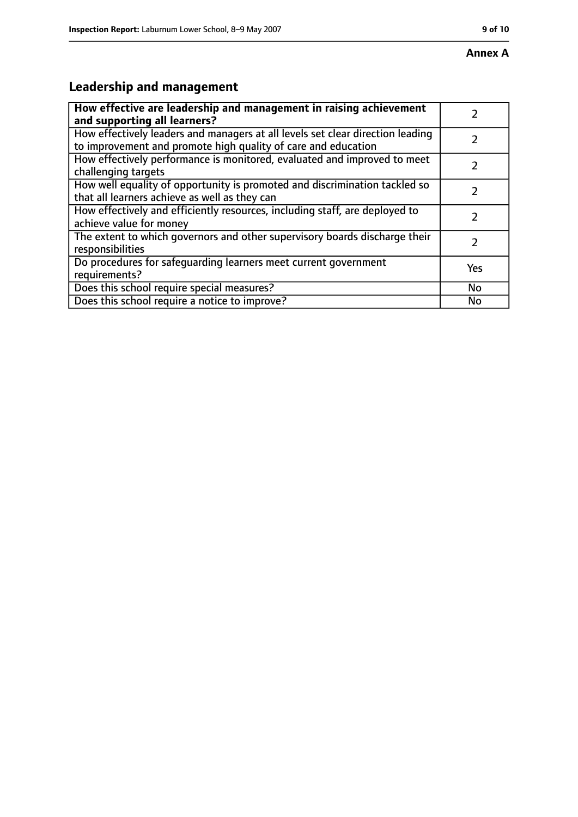# **Leadership and management**

| How effective are leadership and management in raising achievement<br>and supporting all learners?                                              |     |
|-------------------------------------------------------------------------------------------------------------------------------------------------|-----|
| How effectively leaders and managers at all levels set clear direction leading<br>to improvement and promote high quality of care and education |     |
| How effectively performance is monitored, evaluated and improved to meet<br>challenging targets                                                 |     |
| How well equality of opportunity is promoted and discrimination tackled so<br>that all learners achieve as well as they can                     |     |
| How effectively and efficiently resources, including staff, are deployed to<br>achieve value for money                                          |     |
| The extent to which governors and other supervisory boards discharge their<br>responsibilities                                                  |     |
| Do procedures for safequarding learners meet current government<br>requirements?                                                                | Yes |
| Does this school require special measures?                                                                                                      | No  |
| Does this school require a notice to improve?                                                                                                   | No  |